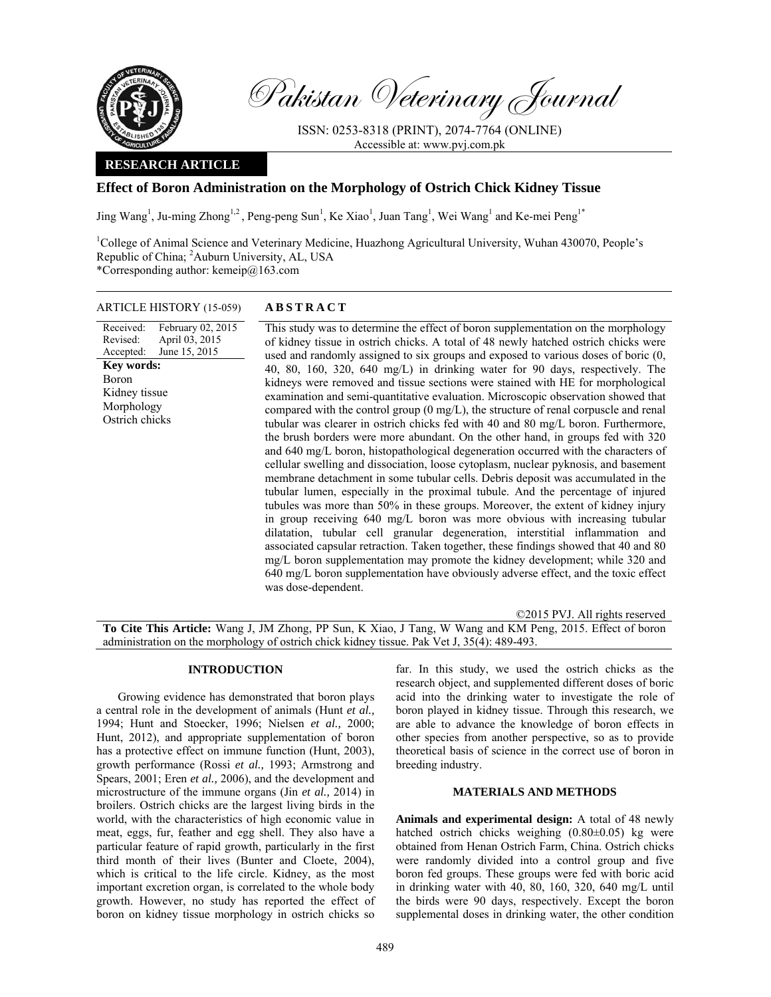

Pakistan Veterinary Journal

ISSN: 0253-8318 (PRINT), 2074-7764 (ONLINE) Accessible at: www.pvj.com.pk

## **RESEARCH ARTICLE**

# **Effect of Boron Administration on the Morphology of Ostrich Chick Kidney Tissue**

Jing Wang<sup>1</sup>, Ju-ming Zhong<sup>1,2</sup>, Peng-peng Sun<sup>1</sup>, Ke Xiao<sup>1</sup>, Juan Tang<sup>1</sup>, Wei Wang<sup>1</sup> and Ke-mei Peng<sup>1\*</sup>

<sup>1</sup>College of Animal Science and Veterinary Medicine, Huazhong Agricultural University, Wuhan 430070, People's Republic of China; <sup>2</sup>Auburn University, AL, USA \*Corresponding author: kemeip@163.com

### ARTICLE HISTORY (15-059) **ABSTRACT**

Received: Revised: Accepted: February 02, 2015 April 03, 2015 June 15, 2015 This study was to determine the effect of boron supplementation on the morphology of kidney tissue in ostrich chicks. A total of 48 newly hatched ostrich chicks were used and randomly assigned to six groups and exposed to various doses of boric (0, 40, 80, 160, 320, 640 mg/L) in drinking water for 90 days, respectively. The kidneys were removed and tissue sections were stained with HE for morphological examination and semi-quantitative evaluation. Microscopic observation showed that compared with the control group (0 mg/L), the structure of renal corpuscle and renal tubular was clearer in ostrich chicks fed with 40 and 80 mg/L boron. Furthermore, the brush borders were more abundant. On the other hand, in groups fed with 320 and 640 mg/L boron, histopathological degeneration occurred with the characters of cellular swelling and dissociation, loose cytoplasm, nuclear pyknosis, and basement membrane detachment in some tubular cells. Debris deposit was accumulated in the tubular lumen, especially in the proximal tubule. And the percentage of injured tubules was more than 50% in these groups. Moreover, the extent of kidney injury in group receiving 640 mg/L boron was more obvious with increasing tubular dilatation, tubular cell granular degeneration, interstitial inflammation and associated capsular retraction. Taken together, these findings showed that 40 and 80 mg/L boron supplementation may promote the kidney development; while 320 and 640 mg/L boron supplementation have obviously adverse effect, and the toxic effect was dose-dependent. **Key words:**  Boron Kidney tissue Morphology Ostrich chicks

©2015 PVJ. All rights reserved

**To Cite This Article:** Wang J, JM Zhong, PP Sun, K Xiao, J Tang, W Wang and KM Peng, 2015. Effect of boron administration on the morphology of ostrich chick kidney tissue. Pak Vet J, 35(4): 489-493.

#### **INTRODUCTION**

Growing evidence has demonstrated that boron plays a central role in the development of animals (Hunt *et al.,* 1994; Hunt and Stoecker, 1996; Nielsen *et al.,* 2000; Hunt, 2012), and appropriate supplementation of boron has a protective effect on immune function (Hunt, 2003), growth performance (Rossi *et al.,* 1993; Armstrong and Spears, 2001; Eren *et al.,* 2006), and the development and microstructure of the immune organs (Jin *et al.,* 2014) in broilers. Ostrich chicks are the largest living birds in the world, with the characteristics of high economic value in meat, eggs, fur, feather and egg shell. They also have a particular feature of rapid growth, particularly in the first third month of their lives (Bunter and Cloete, 2004), which is critical to the life circle. Kidney, as the most important excretion organ, is correlated to the whole body growth. However, no study has reported the effect of boron on kidney tissue morphology in ostrich chicks so

far. In this study, we used the ostrich chicks as the research object, and supplemented different doses of boric acid into the drinking water to investigate the role of boron played in kidney tissue. Through this research, we are able to advance the knowledge of boron effects in other species from another perspective, so as to provide theoretical basis of science in the correct use of boron in breeding industry.

#### **MATERIALS AND METHODS**

**Animals and experimental design:** A total of 48 newly hatched ostrich chicks weighing (0.80±0.05) kg were obtained from Henan Ostrich Farm, China. Ostrich chicks were randomly divided into a control group and five boron fed groups. These groups were fed with boric acid in drinking water with 40, 80, 160, 320, 640 mg/L until the birds were 90 days, respectively. Except the boron supplemental doses in drinking water, the other condition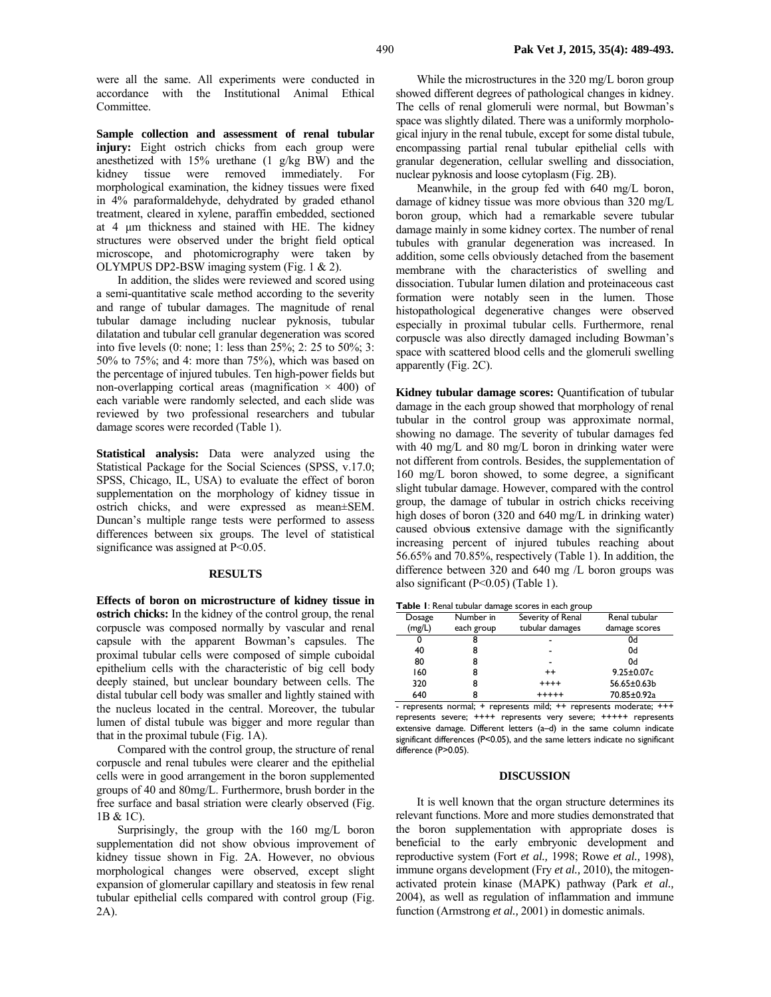were all the same. All experiments were conducted in accordance with the Institutional Animal Ethical Committee.

**Sample collection and assessment of renal tubular injury:** Eight ostrich chicks from each group were anesthetized with 15% urethane (1 g/kg BW) and the kidney tissue were removed immediately. For morphological examination, the kidney tissues were fixed in 4% paraformaldehyde, dehydrated by graded ethanol treatment, cleared in xylene, paraffin embedded, sectioned at 4 µm thickness and stained with HE. The kidney structures were observed under the bright field optical microscope, and photomicrography were taken by OLYMPUS DP2-BSW imaging system (Fig. 1 & 2).

In addition, the slides were reviewed and scored using a semi-quantitative scale method according to the severity and range of tubular damages. The magnitude of renal tubular damage including nuclear pyknosis, tubular dilatation and tubular cell granular degeneration was scored into five levels (0: none; 1: less than 25%; 2: 25 to 50%; 3: 50% to 75%; and 4: more than 75%), which was based on the percentage of injured tubules. Ten high-power fields but non-overlapping cortical areas (magnification  $\times$  400) of each variable were randomly selected, and each slide was reviewed by two professional researchers and tubular damage scores were recorded (Table 1).

**Statistical analysis:** Data were analyzed using the Statistical Package for the Social Sciences (SPSS, v.17.0; SPSS, Chicago, IL, USA) to evaluate the effect of boron supplementation on the morphology of kidney tissue in ostrich chicks, and were expressed as mean±SEM. Duncan's multiple range tests were performed to assess differences between six groups. The level of statistical significance was assigned at P<0.05.

#### **RESULTS**

**Effects of boron on microstructure of kidney tissue in ostrich chicks:** In the kidney of the control group, the renal corpuscle was composed normally by vascular and renal capsule with the apparent Bowman's capsules. The proximal tubular cells were composed of simple cuboidal epithelium cells with the characteristic of big cell body deeply stained, but unclear boundary between cells. The distal tubular cell body was smaller and lightly stained with the nucleus located in the central. Moreover, the tubular lumen of distal tubule was bigger and more regular than that in the proximal tubule (Fig. 1A).

Compared with the control group, the structure of renal corpuscle and renal tubules were clearer and the epithelial cells were in good arrangement in the boron supplemented groups of 40 and 80mg/L. Furthermore, brush border in the free surface and basal striation were clearly observed (Fig. 1B & 1C).

Surprisingly, the group with the 160 mg/L boron supplementation did not show obvious improvement of kidney tissue shown in Fig. 2A. However, no obvious morphological changes were observed, except slight expansion of glomerular capillary and steatosis in few renal tubular epithelial cells compared with control group (Fig. 2A).

While the microstructures in the 320 mg/L boron group showed different degrees of pathological changes in kidney. The cells of renal glomeruli were normal, but Bowman's space was slightly dilated. There was a uniformly morphological injury in the renal tubule, except for some distal tubule, encompassing partial renal tubular epithelial cells with granular degeneration, cellular swelling and dissociation, nuclear pyknosis and loose cytoplasm (Fig. 2B).

Meanwhile, in the group fed with 640 mg/L boron, damage of kidney tissue was more obvious than 320 mg/L boron group, which had a remarkable severe tubular damage mainly in some kidney cortex. The number of renal tubules with granular degeneration was increased. In addition, some cells obviously detached from the basement membrane with the characteristics of swelling and dissociation. Tubular lumen dilation and proteinaceous cast formation were notably seen in the lumen. Those histopathological degenerative changes were observed especially in proximal tubular cells. Furthermore, renal corpuscle was also directly damaged including Bowman's space with scattered blood cells and the glomeruli swelling apparently (Fig. 2C).

**Kidney tubular damage scores:** Quantification of tubular damage in the each group showed that morphology of renal tubular in the control group was approximate normal, showing no damage. The severity of tubular damages fed with 40 mg/L and 80 mg/L boron in drinking water were not different from controls. Besides, the supplementation of 160 mg/L boron showed, to some degree, a significant slight tubular damage. However, compared with the control group, the damage of tubular in ostrich chicks receiving high doses of boron (320 and 640 mg/L in drinking water) caused obviou**s** extensive damage with the significantly increasing percent of injured tubules reaching about 56.65% and 70.85%, respectively (Table 1). In addition, the difference between 320 and 640 mg /L boron groups was also significant (P<0.05) (Table 1).

| <b>Table I:</b> Renal tubular damage scores in each group |  |
|-----------------------------------------------------------|--|
|-----------------------------------------------------------|--|

| <b>Table 1.</b> Kehal tubular damage seores in caen group |            |                   |                  |
|-----------------------------------------------------------|------------|-------------------|------------------|
| Dosage                                                    | Number in  | Severity of Renal | Renal tubular    |
| (mg/L)                                                    | each group | tubular damages   | damage scores    |
| 0                                                         |            |                   | 0d               |
| 40                                                        | 8          |                   | 0d               |
| 80                                                        |            |                   | 0d               |
| 160                                                       | 8          | $^{++}$           | $9.25 \pm 0.07c$ |
| 320                                                       | 8          | $++++$            | 56.65±0.63b      |
| 640                                                       |            | $+++++$           | 70.85±0.92a      |

- represents normal; + represents mild; ++ represents moderate; +++ represents severe; ++++ represents very severe; +++++ represents extensive damage. Different letters (a–d) in the same column indicate significant differences (P<0.05), and the same letters indicate no significant difference (P>0.05).

#### **DISCUSSION**

It is well known that the organ structure determines its relevant functions. More and more studies demonstrated that the boron supplementation with appropriate doses is beneficial to the early embryonic development and reproductive system (Fort *et al.,* 1998; Rowe *et al.,* 1998), immune organs development (Fry *et al.,* 2010), the mitogenactivated protein kinase (MAPK) pathway (Park *et al.,*  2004), as well as regulation of inflammation and immune function (Armstrong *et al.,* 2001) in domestic animals.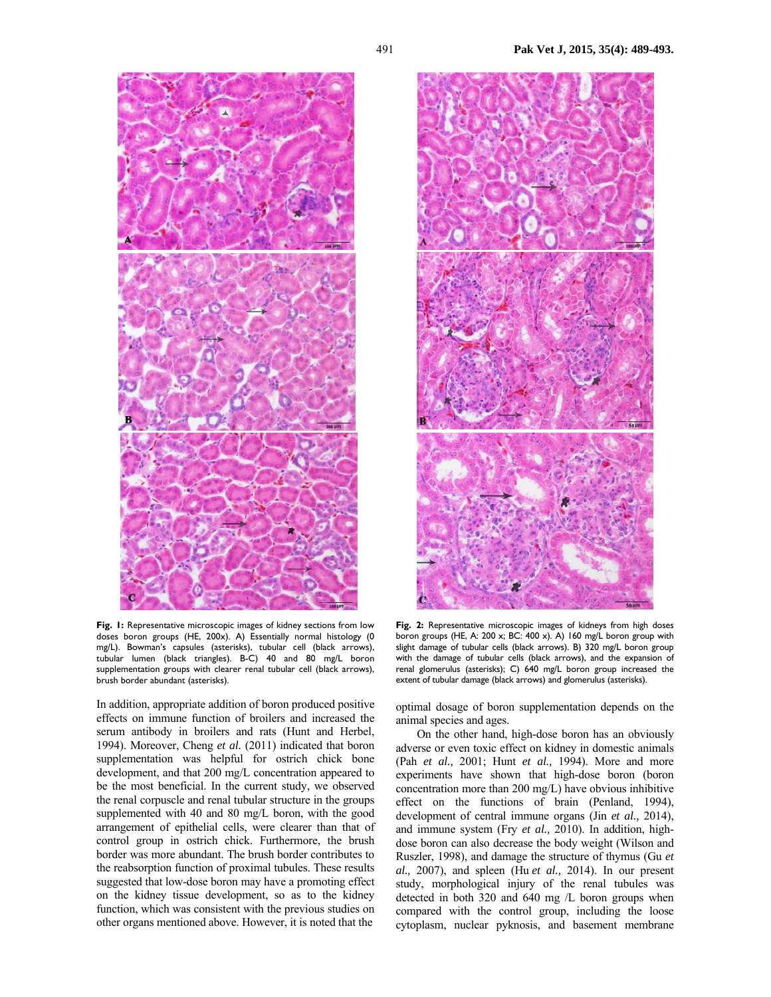

**Fig. 1:** Representative microscopic images of kidney sections from low doses boron groups (HE, 200x). A) Essentially normal histology (0 mg/L). Bowman's capsules (asterisks), tubular cell (black arrows), tubular lumen (black triangles). B-C) 40 and 80 mg/L boron supplementation groups with clearer renal tubular cell (black arrows), brush border abundant (asterisks).

In addition, appropriate addition of boron produced positive effects on immune function of broilers and increased the serum antibody in broilers and rats (Hunt and Herbel, 1994). Moreover, Cheng *et al.* (2011) indicated that boron supplementation was helpful for ostrich chick bone development, and that 200 mg/L concentration appeared to be the most beneficial. In the current study, we observed the renal corpuscle and renal tubular structure in the groups supplemented with 40 and 80 mg/L boron, with the good arrangement of epithelial cells, were clearer than that of control group in ostrich chick. Furthermore, the brush border was more abundant. The brush border contributes to the reabsorption function of proximal tubules. These results suggested that low-dose boron may have a promoting effect on the kidney tissue development, so as to the kidney function, which was consistent with the previous studies on other organs mentioned above. However, it is noted that the



**Fig. 2:** Representative microscopic images of kidneys from high doses boron groups (HE, A: 200 x; BC: 400 x). A) 160 mg/L boron group with slight damage of tubular cells (black arrows). B) 320 mg/L boron group with the damage of tubular cells (black arrows), and the expansion of renal glomerulus (asterisks); C) 640 mg/L boron group increased the extent of tubular damage (black arrows) and glomerulus (asterisks).

optimal dosage of boron supplementation depends on the animal species and ages.

On the other hand, high-dose boron has an obviously adverse or even toxic effect on kidney in domestic animals (Pah *et al.,* 2001; Hunt *et al.,* 1994). More and more experiments have shown that high-dose boron (boron concentration more than 200 mg/L) have obvious inhibitive effect on the functions of brain (Penland, 1994), development of central immune organs (Jin *et al.,* 2014), and immune system (Fry *et al.,* 2010). In addition, highdose boron can also decrease the body weight (Wilson and Ruszler, 1998), and damage the structure of thymus (Gu *et al.,* 2007), and spleen (Hu *et al.,* 2014). In our present study, morphological injury of the renal tubules was detected in both 320 and 640 mg /L boron groups when compared with the control group, including the loose cytoplasm, nuclear pyknosis, and basement membrane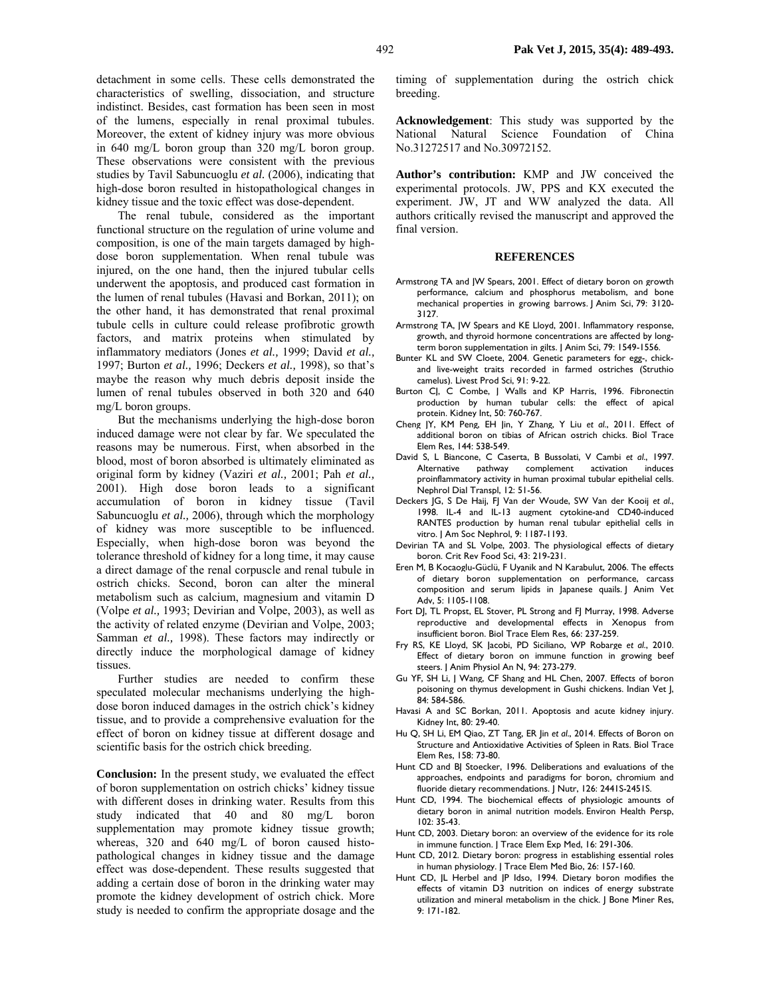detachment in some cells. These cells demonstrated the characteristics of swelling, dissociation, and structure indistinct. Besides, cast formation has been seen in most of the lumens, especially in renal proximal tubules. Moreover, the extent of kidney injury was more obvious in 640 mg/L boron group than 320 mg/L boron group. These observations were consistent with the previous studies by Tavil Sabuncuoglu *et al.* (2006), indicating that high-dose boron resulted in histopathological changes in kidney tissue and the toxic effect was dose-dependent.

The renal tubule, considered as the important functional structure on the regulation of urine volume and composition, is one of the main targets damaged by highdose boron supplementation. When renal tubule was injured, on the one hand, then the injured tubular cells underwent the apoptosis, and produced cast formation in the lumen of renal tubules (Havasi and Borkan, 2011); on the other hand, it has demonstrated that renal proximal tubule cells in culture could release profibrotic growth factors, and matrix proteins when stimulated by inflammatory mediators (Jones *et al.,* 1999; David *et al.,* 1997; Burton *et al.,* 1996; Deckers *et al.,* 1998), so that's maybe the reason why much debris deposit inside the lumen of renal tubules observed in both 320 and 640 mg/L boron groups.

But the mechanisms underlying the high-dose boron induced damage were not clear by far. We speculated the reasons may be numerous. First, when absorbed in the blood, most of boron absorbed is ultimately eliminated as original form by kidney (Vaziri *et al.,* 2001; Pah *et al.,* 2001). High dose boron leads to a significant accumulation of boron in kidney tissue (Tavil Sabuncuoglu *et al.,* 2006), through which the morphology of kidney was more susceptible to be influenced. Especially, when high-dose boron was beyond the tolerance threshold of kidney for a long time, it may cause a direct damage of the renal corpuscle and renal tubule in ostrich chicks. Second, boron can alter the mineral metabolism such as calcium, magnesium and vitamin D (Volpe *et al.,* 1993; Devirian and Volpe, 2003), as well as the activity of related enzyme (Devirian and Volpe, 2003; Samman *et al.,* 1998). These factors may indirectly or directly induce the morphological damage of kidney tissues.

Further studies are needed to confirm these speculated molecular mechanisms underlying the highdose boron induced damages in the ostrich chick's kidney tissue, and to provide a comprehensive evaluation for the effect of boron on kidney tissue at different dosage and scientific basis for the ostrich chick breeding.

**Conclusion:** In the present study, we evaluated the effect of boron supplementation on ostrich chicks' kidney tissue with different doses in drinking water. Results from this study indicated that 40 and 80 mg/L boron supplementation may promote kidney tissue growth; whereas, 320 and 640 mg/L of boron caused histopathological changes in kidney tissue and the damage effect was dose-dependent. These results suggested that adding a certain dose of boron in the drinking water may promote the kidney development of ostrich chick. More study is needed to confirm the appropriate dosage and the

timing of supplementation during the ostrich chick breeding.

**Acknowledgement**: This study was supported by the National Natural Science Foundation of China No.31272517 and No.30972152.

**Author's contribution:** KMP and JW conceived the experimental protocols. JW, PPS and KX executed the experiment. JW, JT and WW analyzed the data. All authors critically revised the manuscript and approved the final version.

#### **REFERENCES**

- Armstrong TA and JW Spears, 2001. Effect of dietary boron on growth performance, calcium and phosphorus metabolism, and bone mechanical properties in growing barrows. J Anim Sci, 79: 3120- 3127.
- Armstrong TA, JW Spears and KE Lloyd, 2001. Inflammatory response, growth, and thyroid hormone concentrations are affected by longterm boron supplementation in gilts. | Anim Sci, 79: 1549-1556.
- Bunter KL and SW Cloete, 2004. Genetic parameters for egg-, chickand live-weight traits recorded in farmed ostriches (Struthio camelus). Livest Prod Sci, 91: 9-22.
- Burton CJ, C Combe, J Walls and KP Harris, 1996. Fibronectin production by human tubular cells: the effect of apical protein. Kidney Int, 50: 760-767.
- Cheng JY, KM Peng, EH Jin, Y Zhang, Y Liu *et al*., 2011. Effect of additional boron on tibias of African ostrich chicks. Biol Trace Elem Res, 144: 538-549.
- David S, L Biancone, C Caserta, B Bussolati, V Cambi *et al*., 1997. Alternative pathway complement activation induces proinflammatory activity in human proximal tubular epithelial cells. Nephrol Dial Transpl, 12: 51-56.
- Deckers JG, S De Haij, FJ Van der Woude, SW Van der Kooij *et al*., 1998. IL-4 and IL-13 augment cytokine-and CD40-induced RANTES production by human renal tubular epithelial cells in vitro. J Am Soc Nephrol, 9: 1187-1193.
- Devirian TA and SL Volpe, 2003. The physiological effects of dietary boron. Crit Rev Food Sci, 43: 219-231.
- Eren M, B Kocaoglu-Güclü, F Uyanik and N Karabulut, 2006. The effects of dietary boron supplementation on performance, carcass composition and serum lipids in Japanese quails. J Anim Vet Adv, 5: 1105-1108.
- Fort DJ, TL Propst, EL Stover, PL Strong and FJ Murray, 1998. Adverse reproductive and developmental effects in Xenopus from insufficient boron. Biol Trace Elem Res, 66: 237-259.
- Fry RS, KE Lloyd, SK Jacobi, PD Siciliano, WP Robarge *et al*., 2010. Effect of dietary boron on immune function in growing beef steers. | Anim Physiol An N, 94: 273-279.
- Gu YF, SH Li, J Wang, CF Shang and HL Chen, 2007. Effects of boron poisoning on thymus development in Gushi chickens. Indian Vet J, 84: 584-586.
- Havasi A and SC Borkan, 2011. Apoptosis and acute kidney injury. Kidney Int, 80: 29-40.
- Hu Q, SH Li, EM Qiao, ZT Tang, ER Jin *et al*., 2014. Effects of Boron on Structure and Antioxidative Activities of Spleen in Rats. Biol Trace Elem Res, 158: 73-80.
- Hunt CD and BJ Stoecker, 1996. Deliberations and evaluations of the approaches, endpoints and paradigms for boron, chromium and fluoride dietary recommendations. | Nutr, 126: 2441S-2451S.
- Hunt CD, 1994. The biochemical effects of physiologic amounts of dietary boron in animal nutrition models. Environ Health Persp,  $102: 35-43.$
- Hunt CD, 2003. Dietary boron: an overview of the evidence for its role in immune function. J Trace Elem Exp Med, 16: 291-306.
- Hunt CD, 2012. Dietary boron: progress in establishing essential roles in human physiology. J Trace Elem Med Bio, 26: 157-160.
- Hunt CD, JL Herbel and JP Idso, 1994. Dietary boron modifies the effects of vitamin D3 nutrition on indices of energy substrate utilization and mineral metabolism in the chick. J Bone Miner Res, 9: 171-182.